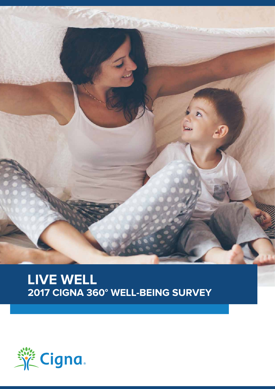

#### **2017 CIGNA 360° WELL-BEING SURVEY LIVE WELL**

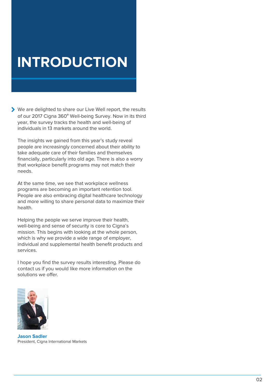#### **INTRODUCTION**

We are delighted to share our Live Well report, the results of our 2017 Cigna 360° Well-being Survey. Now in its third year, the survey tracks the health and well-being of individuals in 13 markets around the world.

The insights we gained from this year's study reveal people are increasingly concerned about their ability to take adequate care of their families and themselves financially, particularly into old age. There is also a worry that workplace benefit programs may not match their needs.

At the same time, we see that workplace wellness programs are becoming an important retention tool. People are also embracing digital healthcare technology and more willing to share personal data to maximize their health.

Helping the people we serve improve their health, well-being and sense of security is core to Cigna's mission. This begins with looking at the whole person, which is why we provide a wide range of employer, individual and supplemental health benefit products and services.

I hope you find the survey results interesting. Please do contact us if you would like more information on the solutions we offer.



**Jason Sadler** President, Cigna International Markets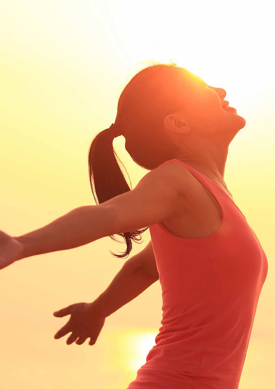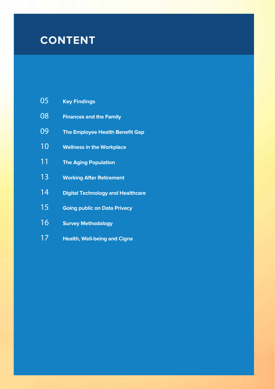#### **CONTENT**

| 05<br>Key Findings |
|--------------------|
|--------------------|

- 08 **Finances and the Family**
- 09 **The Employee Health Benefit Gap**
- 10 **Wellness in the Workplace**
- 11 **The Aging Population**
- 13 **Working After Retirement**
- 14 **Digital Technology and Healthcare**
- 15 **Going public on Data Privacy**
- 16 **Survey Methodology**
- 17 **Health, Well-being and Cigna**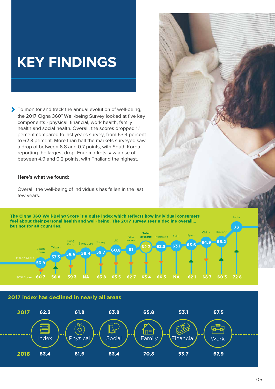#### **KEY FINDINGS**

To monitor and track the annual evolution of well-being, the 2017 Cigna 360° Well-being Survey looked at five key components - physical, financial, work health, family health and social health. Overall, the scores dropped 1.1 percent compared to last year's survey, from 63.4 percent to 62.3 percent. More than half the markets surveyed saw a drop of between 6.8 and 0.7 points, with South Korea reporting the largest drop. Four markets saw a rise of between 4.9 and 0.2 points, with Thailand the highest.

#### **Here's what we found:**

Overall, the well-being of individuals has fallen in the last few years.



India

The Cigna 360 Well-Being Score is a pulse index which reflects how individual consumers feel about their personal health and well-being. The 2017 survey sees a decline overall... but not for all countries.



#### 2017 index has declined in nearly all areas

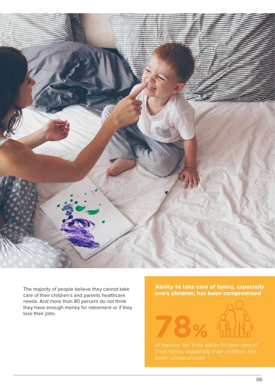

The majority of people believe they cannot take care of their children's and parents healthcare needs. And more than 80 percent do not think they have enough money for retirement or if they lose their jobs.

Ability to take care of family, especially one's children, has been compromised

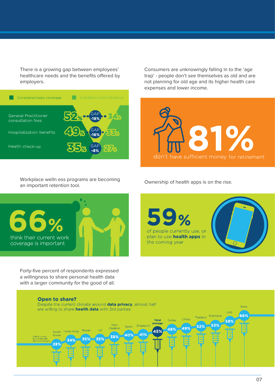There is a growing gap between employees' healthcare needs and the benefits offered by employers.

| Considered basic coverage                        | Included in work insurance |
|--------------------------------------------------|----------------------------|
| <b>General Practitioner</b><br>consultation fees | $-18%$<br>1:0%             |
| Hospitalization benefits                         | GAP<br><b>49%</b>          |
| Health check-up                                  | GAP<br>-8%<br>$\bullet$    |

Workplace welln ess programs are becoming an important retention tool.

Consumers are unknowingly falling in to the 'age trap' - people don't see themselves as old and are not planning for old age and its higher health care expenses and lower income.



Ownership of health apps is on the rise.



Forty-five percent of respondents expressed a willingness to share personal health data with a larger community for the good of all.

of people currently use, or plan to use **health apps** in the coming year



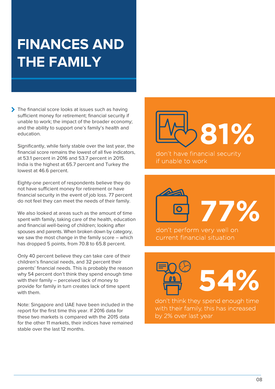### **FINANCES AND THE FAMILY**

The financial score looks at issues such as having sufficient money for retirement; financial security if unable to work; the impact of the broader economy; and the ability to support one's family's health and education.

Significantly, while fairly stable over the last year, the financial score remains the lowest of all five indicators, at 53.1 percent in 2016 and 53.7 percent in 2015. India is the highest at 65.7 percent and Turkey the lowest at 46.6 percent.

Eighty-one percent of respondents believe they do not have sufficient money for retirement or have financial security in the event of job loss. 77 percent do not feel they can meet the needs of their family.

We also looked at areas such as the amount of time spent with family, taking care of the health, education and financial well-being of children; looking after spouses and parents. When broken down by category, we saw the most change in the family score – which has dropped 5 points, from 70.8 to 65.8 percent.

Only 40 percent believe they can take care of their children's financial needs, and 32 percent their parents' financial needs. This is probably the reason why 54 percent don't think they spend enough time with their family – perceived lack of money to provide for family in turn creates lack of time spent with them.

Note: Singapore and UAE have been included in the report for the first time this year. If 2016 data for these two markets is compared with the 2015 data for the other 11 markets, their indices have remained stable over the last 12 months.

81%

don't have financial security if unable to work



don't perform very well on current financial situation



with their family, this has increased by 2% over last year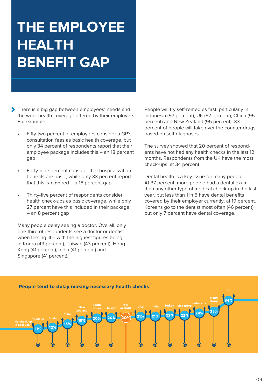# **THE EMPLOYEE HEALTH BENEFIT GAP**

- There is a big gap between employees' needs and the work health coverage offered by their employers. For example,
	- Fifty-two percent of employees consider a GP's consultation fees as basic health coverage, but only 34 percent of respondents report that their employee package includes this – an 18 percent gap
	- Forty-nine percent consider that hospitalization benefits are basic, while only 33 percent report that this is covered – a 16 percent gap
	- Thirty-five percent of respondents consider health check-ups as basic coverage, while only 27 percent have this included in their package – an 8 percent gap

Many people delay seeing a doctor. Overall, only one-third of respondents see a doctor or dentist when feeling ill – with the highest figures being in Korea (49 percent), Taiwan (43 percent), Hong Kong (41 percent), India (41 percent) and Singapore (41 percent).

People will try self-remedies first; particularly in Indonesia (97 percent), UK (97 percent), China (95 percent) and New Zealand (95 percent). 33 percent of people will take over the counter drugs based on self-diagnoses.

The survey showed that 20 percent of respondents have not had any health checks in the last 12 months. Respondents from the UK have the most check-ups, at 34 percent.

Dental health is a key issue for many people. At 37 percent, more people had a dental exam than any other type of medical check-up in the last year, but less than 1 in 5 have dental benefits covered by their employer currently, at 19 percent. Koreans go to the dentist most often (46 percent) but only 7 percent have dental coverage.

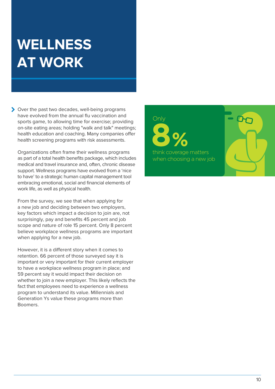## **WELLNESS AT WORK**

Over the past two decades, well-being programs have evolved from the annual flu vaccination and sports game, to allowing time for exercise; providing on-site eating areas; holding "walk and talk" meetings; health education and coaching. Many companies offer health screening programs with risk assessments.

Organizations often frame their wellness programs as part of a total health benefits package, which includes medical and travel insurance and, often, chronic disease support. Wellness programs have evolved from a 'nice to have' to a strategic human capital management tool embracing emotional, social and financial elements of work life, as well as physical health.

From the survey, we see that when applying for a new job and deciding between two employers, key factors which impact a decision to join are, not surprisingly, pay and benefits 45 percent and job scope and nature of role 15 percent. Only 8 percent believe workplace wellness programs are important when applying for a new job.

However, it is a different story when it comes to retention. 66 percent of those surveyed say it is important or very important for their current employer to have a workplace wellness program in place; and 59 percent say it would impact their decision on whether to join a new employer. This likely reflects the fact that employees need to experience a wellness program to understand its value. Millennials and Generation Ys value these programs more than Boomers.

Only think coverage matters when choosing a new job

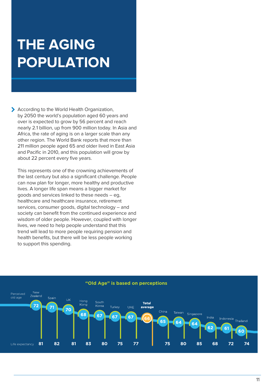#### **THE AGING POPULATION**

According to the World Health Organization, by 2050 the world's population aged 60 years and over is expected to grow by 56 percent and reach nearly 2.1 billion, up from 900 million today. In Asia and Africa, the rate of aging is on a larger scale than any other region. The World Bank reports that more than 211 million people aged 65 and older lived in East Asia and Pacific in 2010, and this population will grow by about 22 percent every five years.

This represents one of the crowning achievements of the last century but also a significant challenge. People can now plan for longer, more healthy and productive lives. A longer life span means a bigger market for goods and services linked to these needs – eg, healthcare and healthcare insurance, retirement services, consumer goods, digital technology – and society can benefit from the continued experience and wisdom of older people. However, coupled with longer lives, we need to help people understand that this trend will lead to more people requiring pension and health benefits, but there will be less people working to support this spending.

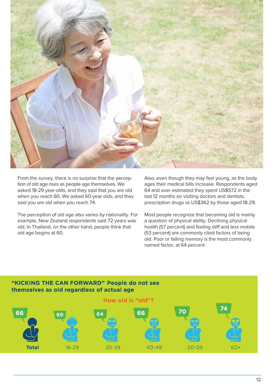

From the survey, there is no surprise that the perception of old age rises as people age themselves. We asked 18-29 year-olds, and they said that you are old when you reach 60. We asked 60-year olds, and they said you are old when you reach 74.

The perception of old age also varies by nationality. For example, New Zealand respondents said 72 years was old. In Thailand, on the other hand, people think that old age begins at 60.

Also, even though they may feel young, as the body ages their medical bills increase. Respondents aged 64 and over estimated they spent US\$572 in the last 12 months on visiting doctors and dentists, prescription drugs vs US\$362 by those aged 18-29.

Most people recognize that becoming old is mainly a question of physical ability. Declining physical health (57 percent) and feeling stiff and less mobile (53 percent) are commonly cited factors of being old. Poor or failing memory is the most commonly named factor, at 64 percent.

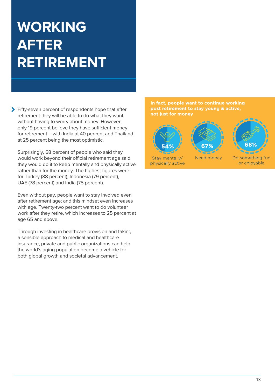# **WORKING AFTER RETIREMENT**

Fifty-seven percent of respondents hope that after retirement they will be able to do what they want, without having to worry about money. However, only 19 percent believe they have sufficient money for retirement – with India at 40 percent and Thailand at 25 percent being the most optimistic.

Surprisingly, 68 percent of people who said they would work beyond their official retirement age said they would do it to keep mentally and physically active rather than for the money. The highest figures were for Turkey (88 percent), Indonesia (79 percent), UAE (78 percent) and India (75 percent).

Even without pay, people want to stay involved even after retirement age; and this mindset even increases with age. Twenty-two percent want to do volunteer work after they retire, which increases to 25 percent at age 65 and above.

Through investing in healthcare provision and taking a sensible approach to medical and healthcare insurance, private and public organizations can help the world's aging population become a vehicle for both global growth and societal advancement.

In fact, people want to continue working post retirement to stay young & active, not just for money







Stay mentally/ physically active

Need money

Do something fun or enjoyable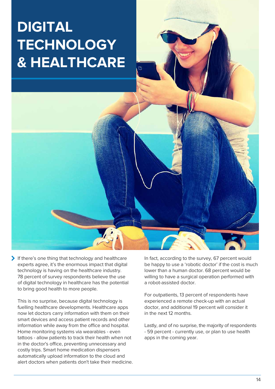## **DIGITAL TECHNOLOGY & HEALTHCARE**

If there's one thing that technology and healthcare experts agree, it's the enormous impact that digital technology is having on the healthcare industry. 78 percent of survey respondents believe the use of digital technology in healthcare has the potential to bring good health to more people.

This is no surprise, because digital technology is fuelling healthcare developments. Healthcare apps now let doctors carry information with them on their smart devices and access patient records and other information while away from the office and hospital. Home monitoring systems via wearables - even tattoos - allow patients to track their health when not in the doctor's office, preventing unnecessary and costly trips. Smart home medication dispensers automatically upload information to the cloud and alert doctors when patients don't take their medicine.

In fact, according to the survey, 67 percent would be happy to use a 'robotic doctor' if the cost is much lower than a human doctor. 68 percent would be willing to have a surgical operation performed with a robot-assisted doctor.

For outpatients, 13 percent of respondents have experienced a remote check-up with an actual doctor, and additional 19 percent will consider it in the next 12 months.

Lastly, and of no surprise, the majority of respondents - 59 percent - currently use, or plan to use health apps in the coming year.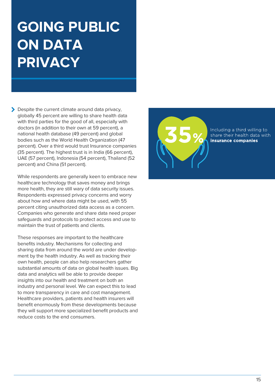# **GOING PUBLIC ON DATA PRIVACY**

Despite the current climate around data privacy, globally 45 percent are willing to share health data with third parties for the good of all, especially with doctors (in addition to their own at 59 percent), a national health database (49 percent) and global bodies such as the World Health Organization (47 percent). Over a third would trust Insurance companies (35 percent). The highest trust is in India (66 percent), UAE (57 percent), Indonesia (54 percent), Thailand (52 percent) and China (51 percent).

While respondents are generally keen to embrace new healthcare technology that saves money and brings more health, they are still wary of data security issues. Respondents expressed privacy concerns and worry about how and where data might be used, with 55 percent citing unauthorized data access as a concern. Companies who generate and share data need proper safeguards and protocols to protect access and use to maintain the trust of patients and clients.

These responses are important to the healthcare benefits industry. Mechanisms for collecting and sharing data from around the world are under development by the health industry. As well as tracking their own health, people can also help researchers gather substantial amounts of data on global health issues. Big data and analytics will be able to provide deeper insights into our health and treatment on both an industry and personal level. We can expect this to lead to more transparency in care and cost management. Healthcare providers, patients and health insurers will benefit enormously from these developments because they will support more specialized benefit products and reduce costs to the end consumers.



Including a third willing to share their health data with insurance companies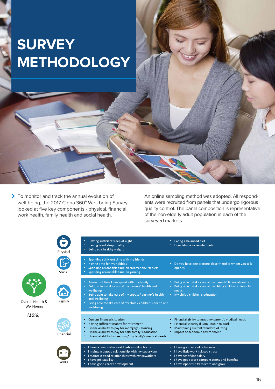### **SURVEY METHODOLOGY**

> To monitor and track the annual evolution of well-being, the 2017 Cigna 360° Well-being Survey looked at five key components - physical, financial, work health, family health and social health.

Getting sufficient sleep at night

An online sampling method was adopted. All respondents were recruited from panels that undergo rigorous quality control. The panel composition is representative of the non-elderly adult population in each of the surveyed markets.

• Eating a balanced diet



Social

Family



Overall Health & Well-being

 $(10%)$ 



| <b>Traving good siccp quality</b><br>Being at a healthy weight                                                                                                                                                                                                     | Excruising on a regaiar basis                                                                                                                                                                             |
|--------------------------------------------------------------------------------------------------------------------------------------------------------------------------------------------------------------------------------------------------------------------|-----------------------------------------------------------------------------------------------------------------------------------------------------------------------------------------------------------|
| Spending sufficient time with my friends<br>Having time for my hobbies<br>Spending reasonable time on smartphone /tablets<br>Spending reasonable time on gaming                                                                                                    | Do you have one or more close friend to whom you talk<br>٠<br>openly?                                                                                                                                     |
| Amount of time I can spend with my family<br>Being able to take care of my parents' health and<br>wellbeing<br>Being able to take care of my spouse/partner's health<br>and wellbeing<br>Being able to take care of my child / children's health and<br>well-being | Being able to take care of my parents' financial needs<br>٠<br>Being able to take care of my child / children's financial<br>needs<br>• My child / children's education                                   |
| Current financial situation<br>Having sufficient money for retirement<br>Financial ability to pay for mortgage / housing<br>Financial ability to pay for self/ family's education<br>Financial ability to meet my / my family's medical needs                      | Financial ability to meet my parent's medical needs<br>Financial security if I am unable to work<br>Maintaining current standard of living<br>Impact of economic environment                              |
| I have a reasonable workload/ working hours<br>٠<br>I maintain a good relationship with my supervisor<br>٠<br>I maintain good relationships with my coworkers<br>٠<br>I have job stability<br>٠<br>I have good career development                                  | I have good work-life balance<br>٠<br>I have little work-related stress<br>I have satisfying salary<br>٠<br>I have good work compensations and benefits<br>٠<br>I have opportunity to learn and grow<br>٠ |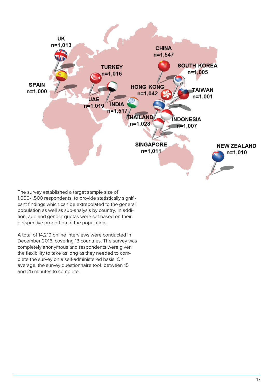

The survey established a target sample size of 1,000-1,500 respondents, to provide statistically significant findings which can be extrapolated to the general population as well as sub-analysis by country. In addition, age and gender quotas were set based on their perspective proportion of the population.

A total of 14,219 online interviews were conducted in December 2016, covering 13 countries. The survey was completely anonymous and respondents were given the flexibility to take as long as they needed to complete the survey on a self-administered basis. On average, the survey questionnaire took between 15 and 25 minutes to complete.